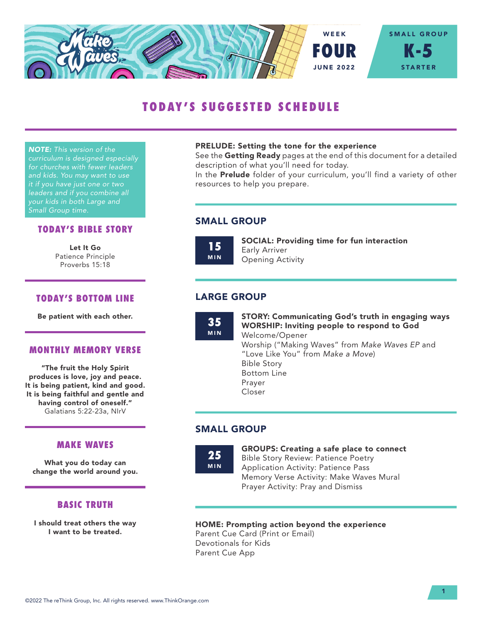

# TODAY'S SUGGESTED SCHEDULE

*NOTE: This version of the curriculum is designed especially for churches with fewer leaders and kids. You may want to use it if you have just one or two leaders and if you combine all your kids in both Large and Small Group time.*

#### TODAY'S BIBLE STORY

Let It Go Patience Principle Proverbs 15:18

## TODAY'S BOTTOM LINE

Be patient with each other.

#### MONTHLY MEMORY VERSE

"The fruit the Holy Spirit produces is love, joy and peace. It is being patient, kind and good. It is being faithful and gentle and having control of oneself." Galatians 5:22-23a, NIrV

## MAKE WAVES

What you do today can change the world around you.

## BASIC TRUTH

I should treat others the way I want to be treated.

#### PRELUDE: Setting the tone for the experience

See the Getting Ready pages at the end of this document for a detailed description of what you'll need for today.

In the **Prelude** folder of your curriculum, you'll find a variety of other resources to help you prepare.

## SMALL GROUP

15 MIN SOCIAL: Providing time for fun interaction Early Arriver Opening Activity

# LARGE GROUP

35 MIN STORY: Communicating God's truth in engaging ways WORSHIP: Inviting people to respond to God Welcome/Opener Worship ("Making Waves" from *Make Waves EP* and "Love Like You" from *Make a Move*) Bible Story Bottom Line Prayer Closer

# SMALL GROUP

25 MIN GROUPS: Creating a safe place to connect Bible Story Review: Patience Poetry Application Activity: Patience Pass Memory Verse Activity: Make Waves Mural

## HOME: Prompting action beyond the experience

Prayer Activity: Pray and Dismiss

Parent Cue Card (Print or Email) Devotionals for Kids Parent Cue App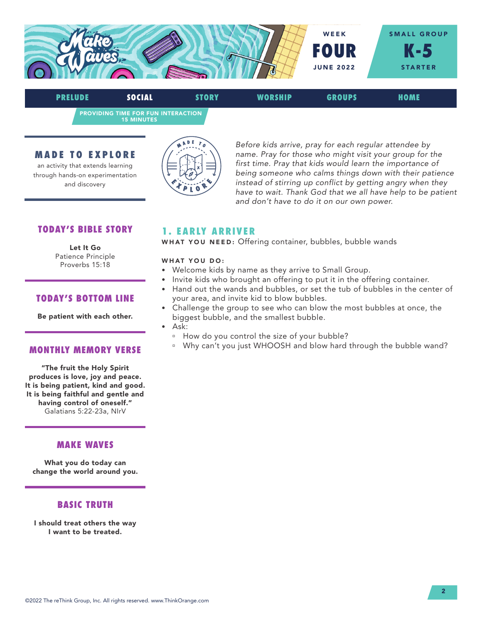

PROVIDING TIME FOR FUN INTERACTION 15 MINUTES PRELUDE SOCIAL STORY WORSHIP GROUPS HOME

MADE TO EXPLORE

an activity that extends learning through hands-on experimentation and discovery



*Before kids arrive, pray for each regular attendee by name. Pray for those who might visit your group for the first time. Pray that kids would learn the importance of being someone who calms things down with their patience instead of stirring up conflict by getting angry when they have to wait. Thank God that we all have help to be patient and don't have to do it on our own power.* 

# TODAY'S BIBLE STORY

Let It Go Patience Principle Proverbs 15:18

## TODAY'S BOTTOM LINE

Be patient with each other.

#### MONTHLY MEMORY VERSE

"The fruit the Holy Spirit produces is love, joy and peace. It is being patient, kind and good. It is being faithful and gentle and having control of oneself." Galatians 5:22-23a, NIrV

# MAKE WAVES

What you do today can change the world around you.

## BASIC TRUTH

I should treat others the way I want to be treated.

# 1. EARLY ARRIVER

WHAT YOU NEED: Offering container, bubbles, bubble wands

#### WHAT YOU DO:

- Welcome kids by name as they arrive to Small Group.
- Invite kids who brought an offering to put it in the offering container.
- Hand out the wands and bubbles, or set the tub of bubbles in the center of your area, and invite kid to blow bubbles.
- Challenge the group to see who can blow the most bubbles at once, the biggest bubble, and the smallest bubble.
- Ask:
	- <sup>n</sup> How do you control the size of your bubble?
	- <sup>n</sup> Why can't you just WHOOSH and blow hard through the bubble wand?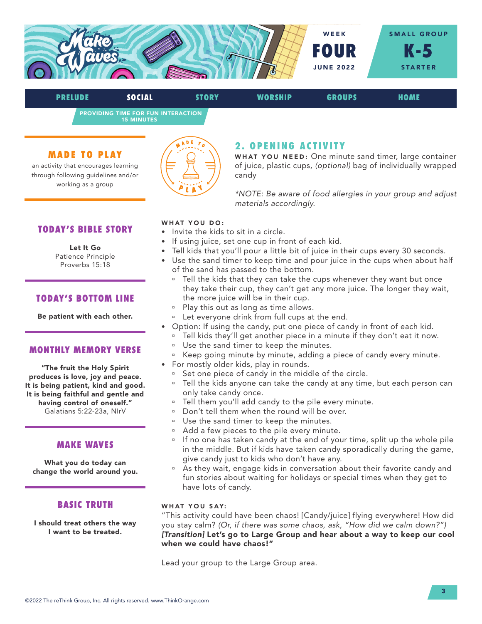

PRELUDE SOCIAL STORY WORSHIP GROUPS HOME

PROVIDING TIME FOR FUN INTERACTION 15 MINUTES

## MADE TO PLAY

an activity that encourages learning through following guidelines and/or working as a group



# 2. OPENING ACTIVITY

WHAT YOU NEED: One minute sand timer, large container of juice, plastic cups, *(optional)* bag of individually wrapped candy

*\*NOTE: Be aware of food allergies in your group and adjust materials accordingly.*

## TODAY'S BIBLE STORY

# Let It Go

Patience Principle Proverbs 15:18

## TODAY'S BOTTOM LINE

Be patient with each other.

### MONTHLY MEMORY VERSE

"The fruit the Holy Spirit produces is love, joy and peace. It is being patient, kind and good. It is being faithful and gentle and having control of oneself." Galatians 5:22-23a, NIrV

## MAKE WAVES

What you do today can change the world around you.

## BASIC TRUTH

I should treat others the way I want to be treated.

#### WHAT YOU DO:

- Invite the kids to sit in a circle.
- If using juice, set one cup in front of each kid.
- Tell kids that you'll pour a little bit of juice in their cups every 30 seconds.
- Use the sand timer to keep time and pour juice in the cups when about half of the sand has passed to the bottom.
	- <sup>o</sup> Tell the kids that they can take the cups whenever they want but once they take their cup, they can't get any more juice. The longer they wait, the more juice will be in their cup.
	- <sup>a</sup> Play this out as long as time allows.
	- <sup>n</sup> Let everyone drink from full cups at the end.
- Option: If using the candy, put one piece of candy in front of each kid.
	- <sup>o</sup> Tell kids they'll get another piece in a minute if they don't eat it now.
	- <sup>n</sup> Use the sand timer to keep the minutes.
	- <sup>o</sup> Keep going minute by minute, adding a piece of candy every minute.
- For mostly older kids, play in rounds.
	- <sup>o</sup> Set one piece of candy in the middle of the circle.
	- <sup>o</sup> Tell the kids anyone can take the candy at any time, but each person can only take candy once.
	- <sup>o</sup> Tell them you'll add candy to the pile every minute.
	- Don't tell them when the round will be over.
	- <sup>□</sup> Use the sand timer to keep the minutes.
	- <sup>a</sup> Add a few pieces to the pile every minute.
	- <sup>n</sup> If no one has taken candy at the end of your time, split up the whole pile in the middle. But if kids have taken candy sporadically during the game, give candy just to kids who don't have any.
	- <sup>o</sup> As they wait, engage kids in conversation about their favorite candy and fun stories about waiting for holidays or special times when they get to have lots of candy.

#### WHAT YOU SAY:

"This activity could have been chaos! [Candy/juice] flying everywhere! How did you stay calm? *(Or, if there was some chaos, ask, "How did we calm down?") [Transition]* Let's go to Large Group and hear about a way to keep our cool when we could have chaos!"

Lead your group to the Large Group area.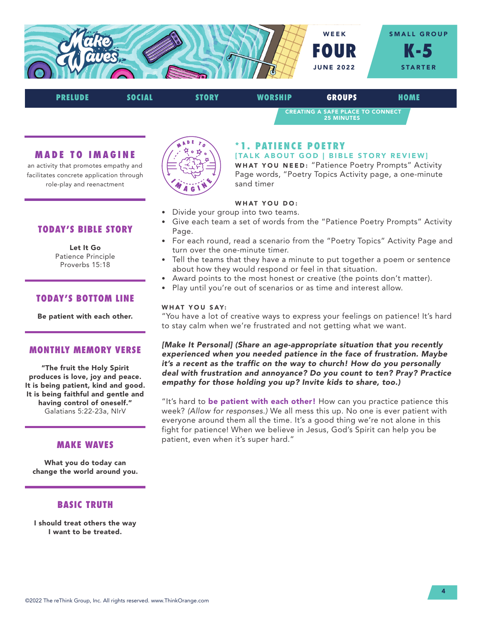

# CREATING A SAFE PLACE TO CONNECT 25 MINUTES PRELUDE SOCIAL STORY WORSHIP GROUPS HOME

### MADE TO IMAGINE

an activity that promotes empathy and facilitates concrete application through role-play and reenactment



# \*1. PATIENCE POETRY

[TALK ABOUT GOD | BIBLE STORY REVIEW] WHAT YOU NEED: "Patience Poetry Prompts" Activity Page words, "Poetry Topics Activity page, a one-minute sand timer

## WHAT YOU DO:

- Divide your group into two teams.
- Give each team a set of words from the "Patience Poetry Prompts" Activity Page.
- For each round, read a scenario from the "Poetry Topics" Activity Page and turn over the one-minute timer.
- Tell the teams that they have a minute to put together a poem or sentence about how they would respond or feel in that situation.
- Award points to the most honest or creative (the points don't matter).
- Play until you're out of scenarios or as time and interest allow.

#### WHAT YOU SAY:

"You have a lot of creative ways to express your feelings on patience! It's hard to stay calm when we're frustrated and not getting what we want.

*[Make It Personal] (Share an age-appropriate situation that you recently experienced when you needed patience in the face of frustration. Maybe it's a recent as the traffic on the way to church! How do you personally deal with frustration and annoyance? Do you count to ten? Pray? Practice empathy for those holding you up? Invite kids to share, too.)* 

"It's hard to be patient with each other! How can you practice patience this week? *(Allow for responses.)* We all mess this up. No one is ever patient with everyone around them all the time. It's a good thing we're not alone in this fight for patience! When we believe in Jesus, God's Spirit can help you be patient, even when it's super hard."

# TODAY'S BIBLE STORY

#### Let It Go

Patience Principle Proverbs 15:18

## TODAY'S BOTTOM LINE

Be patient with each other.

### MONTHLY MEMORY VERSE

"The fruit the Holy Spirit produces is love, joy and peace. It is being patient, kind and good. It is being faithful and gentle and having control of oneself." Galatians 5:22-23a, NIrV

## MAKE WAVES

What you do today can change the world around you.

## BASIC TRUTH

I should treat others the way I want to be treated.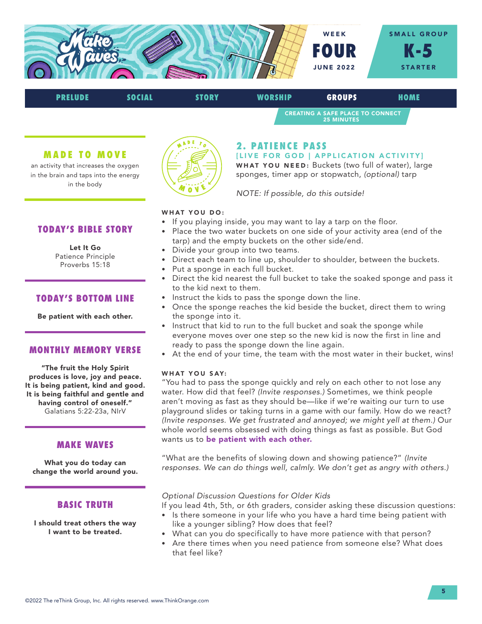

# CREATING A SAFE PLACE TO CONNECT 25 MINUTES PRELUDE SOCIAL STORY WORSHIP GROUPS HOME

#### MADE TO MOVE

an activity that increases the oxygen in the brain and taps into the energy in the body



## 2. PATIENCE PASS

[LIVE FOR GOD | APPLICATION ACTIVITY] WHAT YOU NEED: Buckets (two full of water), large sponges, timer app or stopwatch, *(optional)* tarp

*NOTE: If possible, do this outside!* 

## WHAT YOU DO:

- If you playing inside, you may want to lay a tarp on the floor.
- Place the two water buckets on one side of your activity area (end of the tarp) and the empty buckets on the other side/end.
- Divide your group into two teams.
- Direct each team to line up, shoulder to shoulder, between the buckets.
- Put a sponge in each full bucket.
- Direct the kid nearest the full bucket to take the soaked sponge and pass it to the kid next to them.
- Instruct the kids to pass the sponge down the line.
- Once the sponge reaches the kid beside the bucket, direct them to wring the sponge into it.
- Instruct that kid to run to the full bucket and soak the sponge while everyone moves over one step so the new kid is now the first in line and ready to pass the sponge down the line again.
- At the end of your time, the team with the most water in their bucket, wins!

#### WHAT YOU SAY:

"You had to pass the sponge quickly and rely on each other to not lose any water. How did that feel? *(Invite responses.)* Sometimes, we think people aren't moving as fast as they should be—like if we're waiting our turn to use playground slides or taking turns in a game with our family. How do we react? *(Invite responses. We get frustrated and annoyed; we might yell at them.)* Our whole world seems obsessed with doing things as fast as possible. But God wants us to be patient with each other.

"What are the benefits of slowing down and showing patience?" *(Invite responses. We can do things well, calmly. We don't get as angry with others.)*

### *Optional Discussion Questions for Older Kids*

- If you lead 4th, 5th, or 6th graders, consider asking these discussion questions:
- Is there someone in your life who you have a hard time being patient with like a younger sibling? How does that feel?
	- What can you do specifically to have more patience with that person?
- Are there times when you need patience from someone else? What does that feel like?

# TODAY'S BIBLE STORY

#### Let It Go

Patience Principle Proverbs 15:18

## TODAY'S BOTTOM LINE

Be patient with each other.

#### MONTHLY MEMORY VERSE

"The fruit the Holy Spirit produces is love, joy and peace. It is being patient, kind and good. It is being faithful and gentle and having control of oneself." Galatians 5:22-23a, NIrV

## MAKE WAVES

What you do today can change the world around you.

## BASIC TRUTH

I should treat others the way I want to be treated.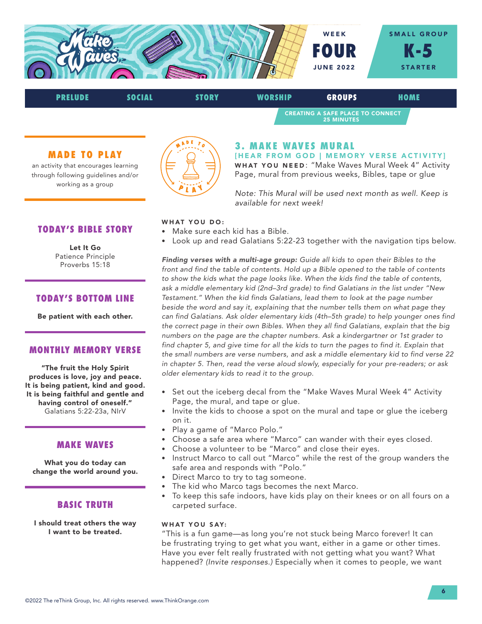

| <b>PRELUDE</b> | SOCIAL | <b>STORY</b> | <b>WORSHIP</b> | <b>GROUPS</b>                                                | HOME |  |
|----------------|--------|--------------|----------------|--------------------------------------------------------------|------|--|
|                |        |              |                | <b>CREATING A SAFE PLACE TO CONNECT</b><br><b>25 MINUTES</b> |      |  |

### MADE TO PLAY

an activity that encourages learning through following guidelines and/or working as a group



# 3. MAKE WAVES MURAL

[HEAR FROM GOD | MEMORY VERSE ACTIVITY] WHAT YOU NEED: "Make Waves Mural Week 4" Activity Page, mural from previous weeks, Bibles, tape or glue

*Note: This Mural will be used next month as well. Keep is available for next week!* 

### TODAY'S BIBLE STORY

Let It Go Patience Principle Proverbs 15:18

## TODAY'S BOTTOM LINE

Be patient with each other.

### MONTHLY MEMORY VERSE

"The fruit the Holy Spirit produces is love, joy and peace. It is being patient, kind and good. It is being faithful and gentle and having control of oneself." Galatians 5:22-23a, NIrV

#### MAKE WAVES

What you do today can change the world around you.

## BASIC TRUTH

I should treat others the way I want to be treated.

#### WHAT YOU DO:

- Make sure each kid has a Bible.
- Look up and read Galatians 5:22-23 together with the navigation tips below.

*Finding verses with a multi-age group: Guide all kids to open their Bibles to the front and find the table of contents. Hold up a Bible opened to the table of contents to show the kids what the page looks like. When the kids find the table of contents, ask a middle elementary kid (2nd–3rd grade) to find Galatians in the list under "New Testament." When the kid finds Galatians, lead them to look at the page number beside the word and say it, explaining that the number tells them on what page they can find Galatians. Ask older elementary kids (4th–5th grade) to help younger ones find the correct page in their own Bibles. When they all find Galatians, explain that the big numbers on the page are the chapter numbers. Ask a kindergartner or 1st grader to find chapter 5, and give time for all the kids to turn the pages to find it. Explain that the small numbers are verse numbers, and ask a middle elementary kid to find verse 22 in chapter 5. Then, read the verse aloud slowly, especially for your pre-readers; or ask older elementary kids to read it to the group.*

- Set out the iceberg decal from the "Make Waves Mural Week 4" Activity Page, the mural, and tape or glue.
- Invite the kids to choose a spot on the mural and tape or glue the iceberg on it.
- Play a game of "Marco Polo."
- Choose a safe area where "Marco" can wander with their eyes closed.
- Choose a volunteer to be "Marco" and close their eyes.
- Instruct Marco to call out "Marco" while the rest of the group wanders the safe area and responds with "Polo."
- Direct Marco to try to tag someone.
- The kid who Marco tags becomes the next Marco.
- To keep this safe indoors, have kids play on their knees or on all fours on a carpeted surface.

#### WHAT YOU SAY:

"This is a fun game—as long you're not stuck being Marco forever! It can be frustrating trying to get what you want, either in a game or other times. Have you ever felt really frustrated with not getting what you want? What happened? *(Invite responses.)* Especially when it comes to people, we want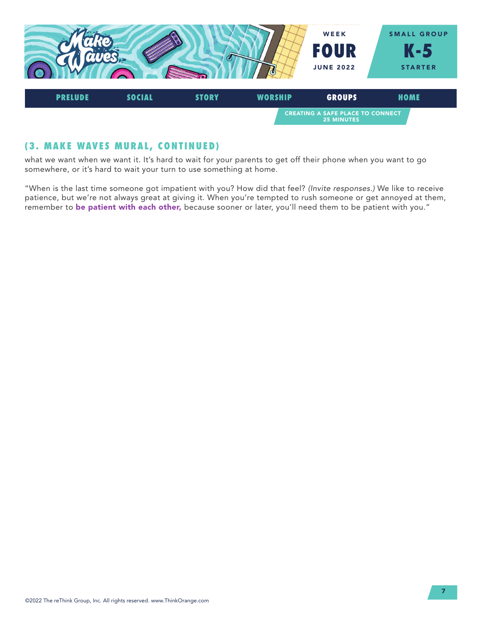

# (3. MAKE WAVES MURAL, CONTINUED)

what we want when we want it. It's hard to wait for your parents to get off their phone when you want to go somewhere, or it's hard to wait your turn to use something at home.

"When is the last time someone got impatient with you? How did that feel? *(Invite responses.)* We like to receive patience, but we're not always great at giving it. When you're tempted to rush someone or get annoyed at them, remember to be patient with each other, because sooner or later, you'll need them to be patient with you."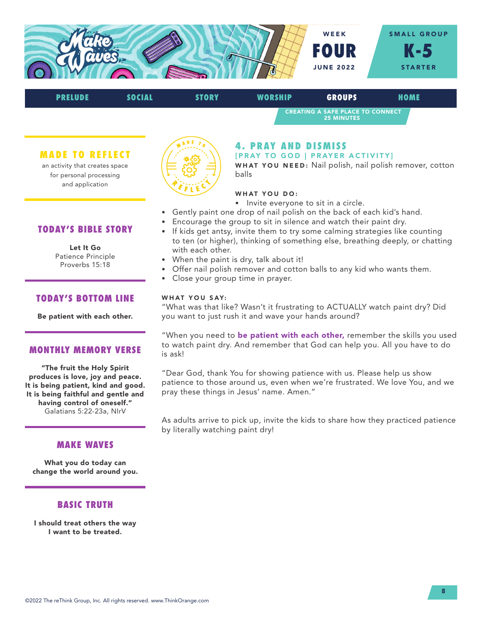



balls

MADE TO REFLECT

an activity that creates space for personal processing and application



# 4. PRAY AND DISMISS

[PRAY TO GOD | PRAYER ACTIVITY] WHAT YOU NEED: Nail polish, nail polish remover, cotton

# WHAT YOU DO:

- Invite everyone to sit in a circle.
- Gently paint one drop of nail polish on the back of each kid's hand.
- Encourage the group to sit in silence and watch their paint dry.
- If kids get antsy, invite them to try some calming strategies like counting to ten (or higher), thinking of something else, breathing deeply, or chatting with each other.
- When the paint is dry, talk about it!
- Offer nail polish remover and cotton balls to any kid who wants them.
- Close your group time in prayer.

#### WHAT YOU SAY:

"What was that like? Wasn't it frustrating to ACTUALLY watch paint dry? Did you want to just rush it and wave your hands around?

"When you need to be patient with each other, remember the skills you used to watch paint dry. And remember that God can help you. All you have to do is ask!

"Dear God, thank You for showing patience with us. Please help us show patience to those around us, even when we're frustrated. We love You, and we pray these things in Jesus' name. Amen."

As adults arrive to pick up, invite the kids to share how they practiced patience by literally watching paint dry!

# TODAY'S BIBLE STORY

Let It Go Patience Principle Proverbs 15:18

## TODAY'S BOTTOM LINE

Be patient with each other.

#### MONTHLY MEMORY VERSE

"The fruit the Holy Spirit produces is love, joy and peace. It is being patient, kind and good. It is being faithful and gentle and having control of oneself." Galatians 5:22-23a, NIrV

## MAKE WAVES

What you do today can change the world around you.

## BASIC TRUTH

I should treat others the way I want to be treated.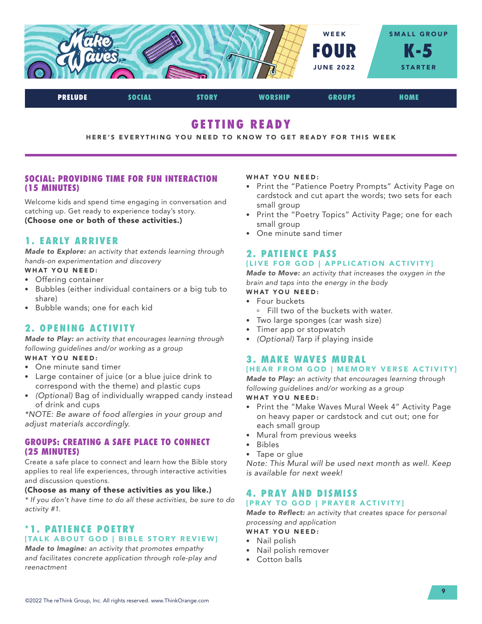

PRELUDE SOCIAL STORY WORSHIP GROUPS HOME

# GETTING READY

#### HERE'S EVERYTHING YOU NEED TO KNOW TO GET READY FOR THIS WEEK

## SOCIAL: PROVIDING TIME FOR FUN INTERACTION (15 MINUTES)

Welcome kids and spend time engaging in conversation and catching up. Get ready to experience today's story. (Choose one or both of these activities.)

# 1. EARLY ARRIVER

*Made to Explore: an activity that extends learning through hands-on experimentation and discovery*

#### WHAT YOU NEED:

- Offering container
- Bubbles (either individual containers or a big tub to share)
- Bubble wands; one for each kid

# 2. OPENING ACTIVITY

*Made to Play: an activity that encourages learning through following guidelines and/or working as a group* WHAT YOU NEED:

- One minute sand timer
- Large container of juice (or a blue juice drink to correspond with the theme) and plastic cups
- *(Optional)* Bag of individually wrapped candy instead of drink and cups

*\*NOTE: Be aware of food allergies in your group and adjust materials accordingly.*

### GROUPS: CREATING A SAFE PLACE TO CONNECT (25 MINUTES)

Create a safe place to connect and learn how the Bible story applies to real life experiences, through interactive activities and discussion questions.

#### (Choose as many of these activities as you like.)

*\* If you don't have time to do all these activities, be sure to do activity #1.*

# \*1. PATIENCE POETRY [TALK ABOUT GOD | BIBLE STORY REVIEW]

*Made to Imagine: an activity that promotes empathy and facilitates concrete application through role-play and reenactment*

#### WHAT YOU NEED:

- Print the "Patience Poetry Prompts" Activity Page on cardstock and cut apart the words; two sets for each small group
- Print the "Poetry Topics" Activity Page; one for each small group
- One minute sand timer

#### 2. PATIENCE PASS [LIVE FOR GOD | APPLICATION ACTIVITY]

*Made to Move: an activity that increases the oxygen in the brain and taps into the energy in the body*

- WHAT YOU NEED: • Four buckets
- 
- **Fill two of the buckets with water.**
- Two large sponges (car wash size)
- Timer app or stopwatch
- *(Optional)* Tarp if playing inside

# 3. MAKE WAVES MURAL

## [HEAR FROM GOD | MEMORY VERSE ACTIVITY]

*Made to Play: an activity that encourages learning through following guidelines and/or working as a group* WHAT YOU NEED:

- Print the "Make Waves Mural Week 4" Activity Page on heavy paper or cardstock and cut out; one for each small group
- Mural from previous weeks
- Bibles
- Tape or glue

*Note: This Mural will be used next month as well. Keep is available for next week!* 

#### 4. PRAY AND DISMISS [PRAY TO GOD | PRAYER ACTIVITY]

*Made to Reflect: an activity that creates space for personal processing and application*

- WHAT YOU NEED:
- Nail polish
- Nail polish remover
- Cotton balls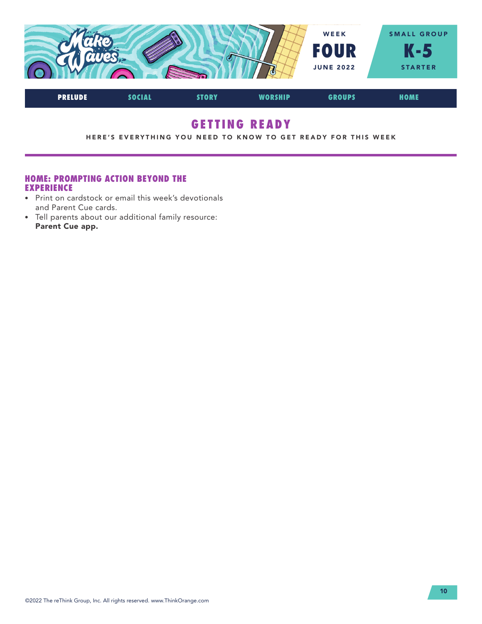

# GETTING READY

HERE'S EVERYTHING YOU NEED TO KNOW TO GET READY FOR THIS WEEK

## HOME: PROMPTING ACTION BEYOND THE EXPERIENCE

- Print on cardstock or email this week's devotionals and Parent Cue cards.
- Tell parents about our additional family resource: Parent Cue app.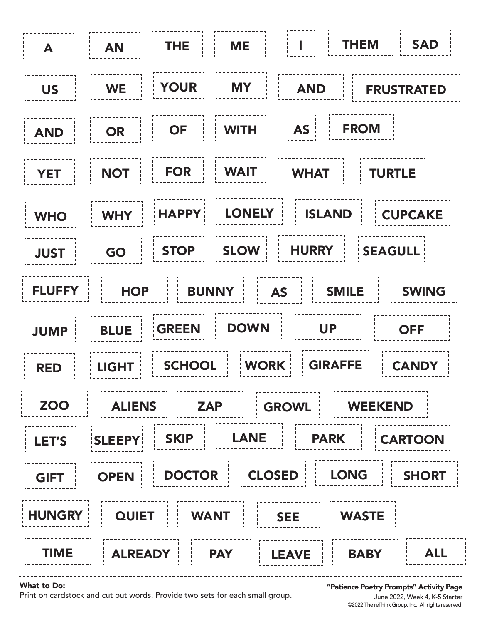

#### What to Do:

Print on cardstock and cut out words. Provide two sets for each small group.

"Patience Poetry Prompts" Activity Page

©2022 The reThink Group, Inc. All rights reserved. June 2022, Week 4, K-5 Starter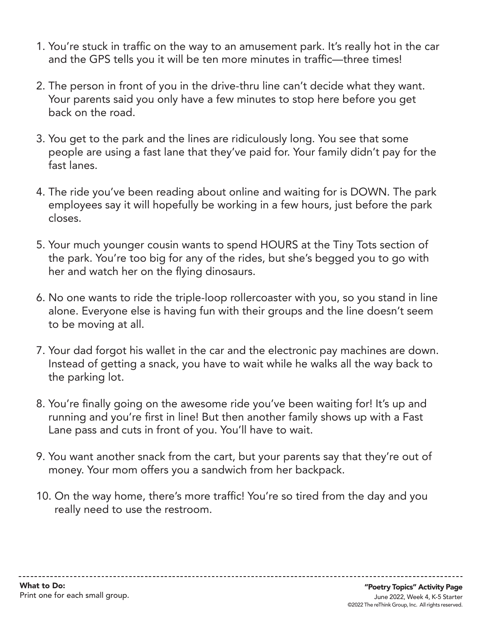- 1. You're stuck in traffic on the way to an amusement park. It's really hot in the car and the GPS tells you it will be ten more minutes in traffic—three times!
- 2. The person in front of you in the drive-thru line can't decide what they want. Your parents said you only have a few minutes to stop here before you get back on the road.
- 3. You get to the park and the lines are ridiculously long. You see that some people are using a fast lane that they've paid for. Your family didn't pay for the fast lanes.
- 4. The ride you've been reading about online and waiting for is DOWN. The park employees say it will hopefully be working in a few hours, just before the park closes.
- 5. Your much younger cousin wants to spend HOURS at the Tiny Tots section of the park. You're too big for any of the rides, but she's begged you to go with her and watch her on the flying dinosaurs.
- 6. No one wants to ride the triple-loop rollercoaster with you, so you stand in line alone. Everyone else is having fun with their groups and the line doesn't seem to be moving at all.
- 7. Your dad forgot his wallet in the car and the electronic pay machines are down. Instead of getting a snack, you have to wait while he walks all the way back to the parking lot.
- 8. You're finally going on the awesome ride you've been waiting for! It's up and running and you're first in line! But then another family shows up with a Fast Lane pass and cuts in front of you. You'll have to wait.
- 9. You want another snack from the cart, but your parents say that they're out of money. Your mom offers you a sandwich from her backpack.
- 10. On the way home, there's more traffic! You're so tired from the day and you really need to use the restroom.